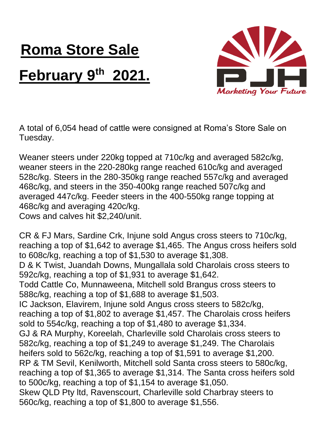## **Roma Store Sale February 9 th 2021.**



A total of 6,054 head of cattle were consigned at Roma's Store Sale on Tuesday.

Weaner steers under 220kg topped at 710c/kg and averaged 582c/kg, weaner steers in the 220-280kg range reached 610c/kg and averaged 528c/kg. Steers in the 280-350kg range reached 557c/kg and averaged 468c/kg, and steers in the 350-400kg range reached 507c/kg and averaged 447c/kg. Feeder steers in the 400-550kg range topping at 468c/kg and averaging 420c/kg. Cows and calves hit \$2,240/unit.

CR & FJ Mars, Sardine Crk, Injune sold Angus cross steers to 710c/kg, reaching a top of \$1,642 to average \$1,465. The Angus cross heifers sold to 608c/kg, reaching a top of \$1,530 to average \$1,308.

D & K Twist, Juandah Downs, Mungallala sold Charolais cross steers to 592c/kg, reaching a top of \$1,931 to average \$1,642.

Todd Cattle Co, Munnaweena, Mitchell sold Brangus cross steers to 588c/kg, reaching a top of \$1,688 to average \$1,503.

IC Jackson, Elavirem, Injune sold Angus cross steers to 582c/kg, reaching a top of \$1,802 to average \$1,457. The Charolais cross heifers sold to 554c/kg, reaching a top of \$1,480 to average \$1,334. GJ & RA Murphy, Koreelah, Charleville sold Charolais cross steers to 582c/kg, reaching a top of \$1,249 to average \$1,249. The Charolais heifers sold to 562c/kg, reaching a top of \$1,591 to average \$1,200. RP & TM Sevil, Kenilworth, Mitchell sold Santa cross steers to 580c/kg, reaching a top of \$1,365 to average \$1,314. The Santa cross heifers sold to 500c/kg, reaching a top of \$1,154 to average \$1,050. Skew QLD Pty ltd, Ravenscourt, Charleville sold Charbray steers to

560c/kg, reaching a top of \$1,800 to average \$1,556.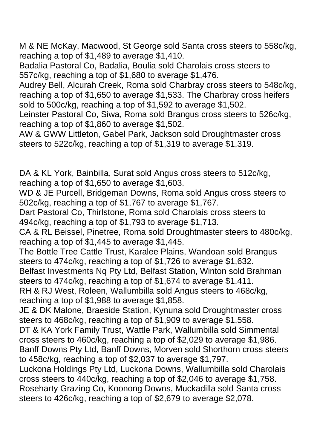M & NE McKay, Macwood, St George sold Santa cross steers to 558c/kg, reaching a top of \$1,489 to average \$1,410.

Badalia Pastoral Co, Badalia, Boulia sold Charolais cross steers to 557c/kg, reaching a top of \$1,680 to average \$1,476.

Audrey Bell, Alcurah Creek, Roma sold Charbray cross steers to 548c/kg, reaching a top of \$1,650 to average \$1,533. The Charbray cross heifers sold to 500c/kg, reaching a top of \$1,592 to average \$1,502.

Leinster Pastoral Co, Siwa, Roma sold Brangus cross steers to 526c/kg, reaching a top of \$1,860 to average \$1,502.

AW & GWW Littleton, Gabel Park, Jackson sold Droughtmaster cross steers to 522c/kg, reaching a top of \$1,319 to average \$1,319.

DA & KL York, Bainbilla, Surat sold Angus cross steers to 512c/kg, reaching a top of \$1,650 to average \$1,603.

WD & JE Purcell, Bridgeman Downs, Roma sold Angus cross steers to 502c/kg, reaching a top of \$1,767 to average \$1,767.

Dart Pastoral Co, Thirlstone, Roma sold Charolais cross steers to 494c/kg, reaching a top of \$1,793 to average \$1,713.

CA & RL Beissel, Pinetree, Roma sold Droughtmaster steers to 480c/kg, reaching a top of \$1,445 to average \$1,445.

The Bottle Tree Cattle Trust, Karalee Plains, Wandoan sold Brangus steers to 474c/kg, reaching a top of \$1,726 to average \$1,632.

Belfast Investments Nq Pty Ltd, Belfast Station, Winton sold Brahman steers to 474c/kg, reaching a top of \$1,674 to average \$1,411.

RH & RJ West, Roleen, Wallumbilla sold Angus steers to 468c/kg, reaching a top of \$1,988 to average \$1,858.

JE & DK Malone, Braeside Station, Kynuna sold Droughtmaster cross steers to 468c/kg, reaching a top of \$1,909 to average \$1,558.

DT & KA York Family Trust, Wattle Park, Wallumbilla sold Simmental cross steers to 460c/kg, reaching a top of \$2,029 to average \$1,986. Banff Downs Pty Ltd, Banff Downs, Morven sold Shorthorn cross steers to 458c/kg, reaching a top of \$2,037 to average \$1,797.

Luckona Holdings Pty Ltd, Luckona Downs, Wallumbilla sold Charolais cross steers to 440c/kg, reaching a top of \$2,046 to average \$1,758. Roseharty Grazing Co, Koonong Downs, Muckadilla sold Santa cross steers to 426c/kg, reaching a top of \$2,679 to average \$2,078.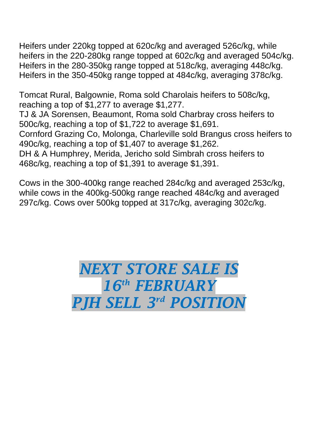Heifers under 220kg topped at 620c/kg and averaged 526c/kg, while heifers in the 220-280kg range topped at 602c/kg and averaged 504c/kg. Heifers in the 280-350kg range topped at 518c/kg, averaging 448c/kg. Heifers in the 350-450kg range topped at 484c/kg, averaging 378c/kg.

Tomcat Rural, Balgownie, Roma sold Charolais heifers to 508c/kg, reaching a top of \$1,277 to average \$1,277. TJ & JA Sorensen, Beaumont, Roma sold Charbray cross heifers to 500c/kg, reaching a top of \$1,722 to average \$1,691. Cornford Grazing Co, Molonga, Charleville sold Brangus cross heifers to 490c/kg, reaching a top of \$1,407 to average \$1,262. DH & A Humphrey, Merida, Jericho sold Simbrah cross heifers to

468c/kg, reaching a top of \$1,391 to average \$1,391.

Cows in the 300-400kg range reached 284c/kg and averaged 253c/kg, while cows in the 400kg-500kg range reached 484c/kg and averaged 297c/kg. Cows over 500kg topped at 317c/kg, averaging 302c/kg.